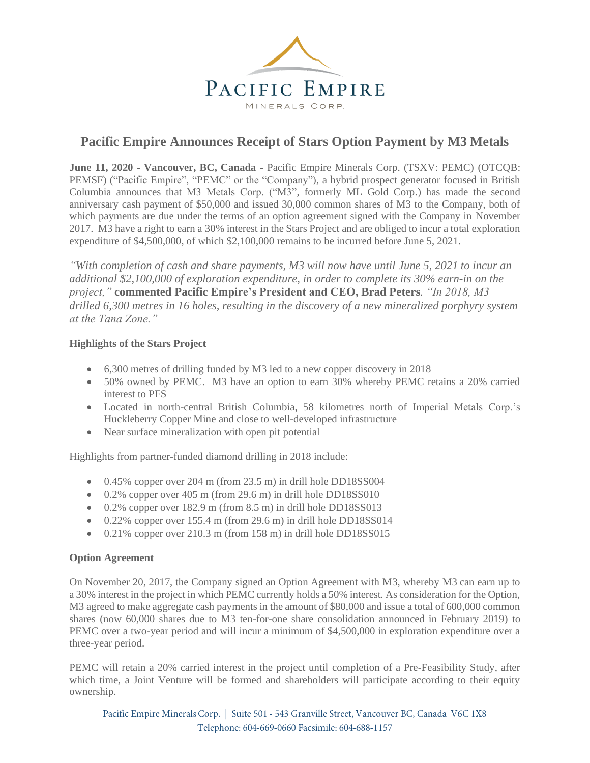

# **Pacific Empire Announces Receipt of Stars Option Payment by M3 Metals**

**June 11, 2020 - Vancouver, BC, Canada -** Pacific Empire Minerals Corp. (TSXV: PEMC) (OTCQB: PEMSF) ("Pacific Empire", "PEMC" or the "Company"), a hybrid prospect generator focused in British Columbia announces that M3 Metals Corp. ("M3", formerly ML Gold Corp.) has made the second anniversary cash payment of \$50,000 and issued 30,000 common shares of M3 to the Company, both of which payments are due under the terms of an option agreement signed with the Company in November 2017. M3 have a right to earn a 30% interest in the Stars Project and are obliged to incur a total exploration expenditure of \$4,500,000, of which \$2,100,000 remains to be incurred before June 5, 2021.

*"With completion of cash and share payments, M3 will now have until June 5, 2021 to incur an additional \$2,100,000 of exploration expenditure, in order to complete its 30% earn-in on the project,"* **commented Pacific Empire's President and CEO, Brad Peters***. "In 2018, M3 drilled 6,300 metres in 16 holes, resulting in the discovery of a new mineralized porphyry system at the Tana Zone."*

## **Highlights of the Stars Project**

- 6,300 metres of drilling funded by M3 led to a new copper discovery in 2018
- 50% owned by PEMC. M3 have an option to earn 30% whereby PEMC retains a 20% carried interest to PFS
- Located in north-central British Columbia, 58 kilometres north of Imperial Metals Corp.'s Huckleberry Copper Mine and close to well-developed infrastructure
- Near surface mineralization with open pit potential

Highlights from partner-funded diamond drilling in 2018 include:

- 0.45% copper over 204 m (from 23.5 m) in drill hole DD18SS004
- $\bullet$  0.2% copper over 405 m (from 29.6 m) in drill hole DD18SS010
- 0.2% copper over 182.9 m (from 8.5 m) in drill hole DD18SS013
- $\bullet$  0.22% copper over 155.4 m (from 29.6 m) in drill hole DD18SS014
- $\bullet$  0.21% copper over 210.3 m (from 158 m) in drill hole DD18SS015

### **Option Agreement**

On November 20, 2017, the Company signed an Option Agreement with M3, whereby M3 can earn up to a 30% interest in the project in which PEMC currently holds a 50% interest. As consideration for the Option, M3 agreed to make aggregate cash payments in the amount of \$80,000 and issue a total of 600,000 common shares (now 60,000 shares due to M3 ten-for-one share consolidation announced in February 2019) to PEMC over a two-year period and will incur a minimum of \$4,500,000 in exploration expenditure over a three-year period.

PEMC will retain a 20% carried interest in the project until completion of a Pre-Feasibility Study, after which time, a Joint Venture will be formed and shareholders will participate according to their equity ownership.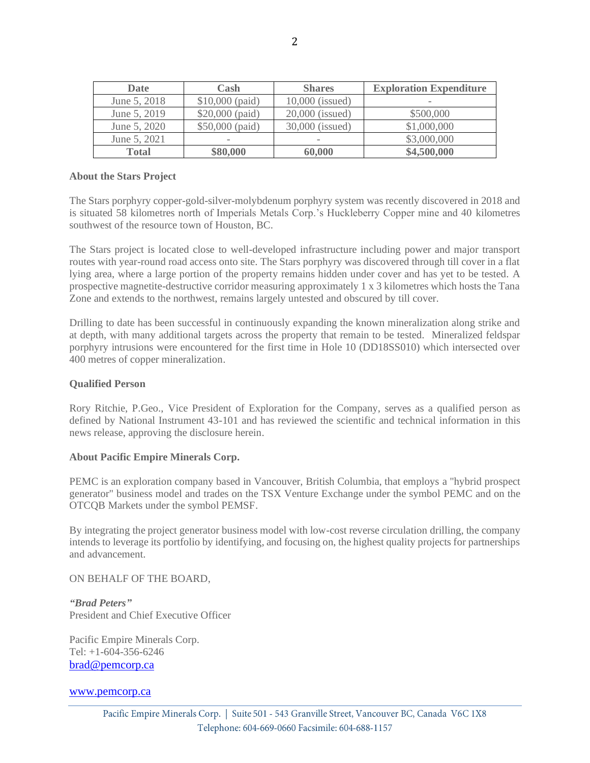| <b>Date</b>  | Cash                     | <b>Shares</b>            | <b>Exploration Expenditure</b> |
|--------------|--------------------------|--------------------------|--------------------------------|
| June 5, 2018 | $$10,000$ (paid)         | $10,000$ (issued)        | $\overline{\phantom{0}}$       |
| June 5, 2019 | \$20,000 (paid)          | 20,000 (issued)          | \$500,000                      |
| June 5, 2020 | \$50,000 (paid)          | 30,000 (issued)          | \$1,000,000                    |
| June 5, 2021 | $\overline{\phantom{0}}$ | $\overline{\phantom{a}}$ | \$3,000,000                    |
| <b>Total</b> | \$80,000                 | 60,000                   | \$4,500,000                    |

#### **About the Stars Project**

The Stars porphyry copper-gold-silver-molybdenum porphyry system was recently discovered in 2018 and is situated 58 kilometres north of Imperials Metals Corp.'s Huckleberry Copper mine and 40 kilometres southwest of the resource town of Houston, BC.

The Stars project is located close to well-developed infrastructure including power and major transport routes with year-round road access onto site. The Stars porphyry was discovered through till cover in a flat lying area, where a large portion of the property remains hidden under cover and has yet to be tested. A prospective magnetite-destructive corridor measuring approximately 1 x 3 kilometres which hosts the Tana Zone and extends to the northwest, remains largely untested and obscured by till cover.

Drilling to date has been successful in continuously expanding the known mineralization along strike and at depth, with many additional targets across the property that remain to be tested. Mineralized feldspar porphyry intrusions were encountered for the first time in Hole 10 (DD18SS010) which intersected over 400 metres of copper mineralization.

#### **Qualified Person**

Rory Ritchie, P.Geo., Vice President of Exploration for the Company, serves as a qualified person as defined by National Instrument 43-101 and has reviewed the scientific and technical information in this news release, approving the disclosure herein.

#### **About Pacific Empire Minerals Corp.**

PEMC is an exploration company based in Vancouver, British Columbia, that employs a "hybrid prospect generator" business model and trades on the TSX Venture Exchange under the symbol PEMC and on the OTCQB Markets under the symbol PEMSF.

By integrating the project generator business model with low-cost reverse circulation drilling, the company intends to leverage its portfolio by identifying, and focusing on, the highest quality projects for partnerships and advancement.

ON BEHALF OF THE BOARD,

*"Brad Peters"* President and Chief Executive Officer

Pacific Empire Minerals Corp. Tel: +1-604-356-6246 [brad@pemcorp.ca](mailto:brad@pemcorp.ca)

#### [www.pemcorp.ca](http://www.pemcorp.ca/)